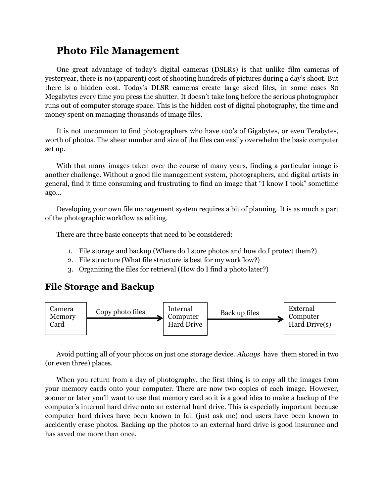## **Photo File Management**

One great advantage of today's digital cameras (DSLRs) is that unlike film cameras of yesteryear, there is no (apparent) cost of shooting hundreds of pictures during a day's shoot. But there is a hidden cost. Today's DLSR cameras create large sized files, in some cases 80 Megabytes every time you press the shutter. It doesn't take long before the serious photographer runs out of computer storage space. This is the hidden cost of digital photography, the time and money spent on managing thousands of image files.

It is not uncommon to find photographers who have 100's of Gigabytes, or even Terabytes, worth of photos. The sheer number and size of the files can easily overwhelm the basic computer set up.

With that many images taken over the course of many years, finding a particular image is another challenge. Without a good file management system, photographers, and digital artists in general, find it time consuming and frustrating to find an image that "I know I took" sometime ago…

Developing your own file management system requires a bit of planning. It is as much a part of the photographic workflow as editing.

There are three basic concepts that need to be considered:

- 1. File storage and backup (Where do I store photos and how do I protect them?)
- 2. File structure (What file structure is best for my workflow?)
- 3. Organizing the files for retrieval (How do I find a photo later?)

## **File Storage and Backup**



Avoid putting all of your photos on just one storage device. *Always* have them stored in two (or even three) places.

When you return from a day of photography, the first thing is to copy all the images from your memory cards onto your computer. There are now two copies of each image. However, sooner or later you'll want to use that memory card so it is a good idea to make a backup of the computer's internal hard drive onto an external hard drive. This is especially important because computer hard drives have been known to fail (just ask me) and users have been known to accidently erase photos. Backing up the photos to an external hard drive is good insurance and has saved me more than once.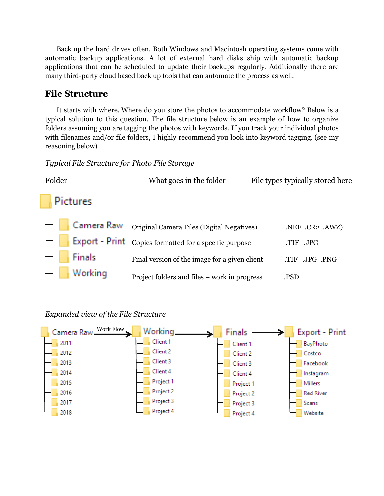Back up the hard drives often. Both Windows and Macintosh operating systems come with automatic backup applications. A lot of external hard disks ship with automatic backup applications that can be scheduled to update their backups regularly. Additionally there are many third-party cloud based back up tools that can automate the process as well.

## **File Structure**

It starts with where. Where do you store the photos to accommodate workflow? Below is a typical solution to this question. The file structure below is an example of how to organize folders assuming you are tagging the photos with keywords. If you track your individual photos with filenames and/or file folders, I highly recommend you look into keyword tagging. (see my reasoning below)

#### *Typical File Structure for Photo File Storage*



#### *Expanded view of the File Structure*

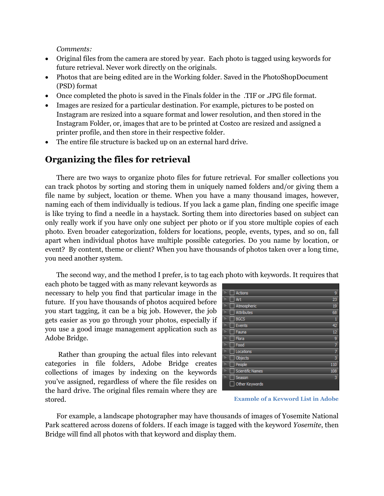*Comments:* 

- Original files from the camera are stored by year. Each photo is tagged using keywords for future retrieval. Never work directly on the originals.
- Photos that are being edited are in the Working folder. Saved in the PhotoShopDocument (PSD) format
- Once completed the photo is saved in the Finals folder in the .TIF or .JPG file format.
- Images are resized for a particular destination. For example, pictures to be posted on Instagram are resized into a square format and lower resolution, and then stored in the Instagram Folder, or, images that are to be printed at Costco are resized and assigned a printer profile, and then store in their respective folder.
- The entire file structure is backed up on an external hard drive.

### **Organizing the files for retrieval**

There are two ways to organize photo files for future retrieval. For smaller collections you can track photos by sorting and storing them in uniquely named folders and/or giving them a file name by subject, location or theme. When you have a many thousand images, however, naming each of them individually is tedious. If you lack a game plan, finding one specific image is like trying to find a needle in a haystack. Sorting them into directories based on subject can only really work if you have only one subject per photo or if you store multiple copies of each photo. Even broader categorization, folders for locations, people, events, types, and so on, fall apart when individual photos have multiple possible categories. Do you name by location, or event? By content, theme or client? When you have thousands of photos taken over a long time, you need another system.

The second way, and the method I prefer, is to tag each photo with keywords. It requires that

each photo be tagged with as many relevant keywords as necessary to help you find that particular image in the future. If you have thousands of photos acquired before you start tagging, it can be a big job. However, the job gets easier as you go through your photos, especially if you use a good image management application such as Adobe Bridge.

Rather than grouping the actual files into relevant categories in file folders, Adobe Bridge creates collections of images by indexing on the keywords you've assigned, regardless of where the file resides on the hard drive. The original files remain where they are stored.

| <b>Actions</b>          | 9              |
|-------------------------|----------------|
| Art                     | 23             |
| Atmospheric             | 19             |
| <b>Attributes</b>       | 68             |
| <b>BGCS</b>             | $\mathbf{1}$   |
| Events                  | 42             |
| Fauna                   | 12             |
| Flora                   | 9              |
| Food                    | 7              |
| Locations               | $\overline{7}$ |
| Objects                 | 3              |
| People                  | 110            |
| <b>Scientific Names</b> | 108            |
| Season                  | 3              |
| Other Keywords          |                |

**Example of a Keyword List in Adobe** 

For example, a landscape photographer may have thousands of images of Yosemite National Park scattered across dozens of folders. If each image is tagged with the keyword *Yosemite*, then Bridge will find all photos with that keyword and display them.